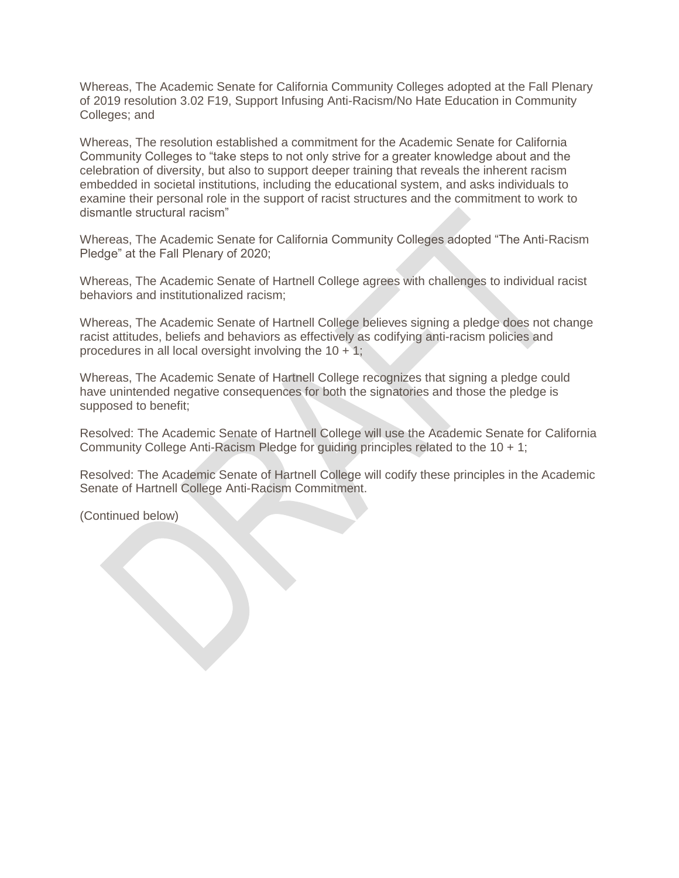Whereas, The Academic Senate for California Community Colleges adopted at the Fall Plenary of 2019 resolution 3.02 F19, Support Infusing Anti-Racism/No Hate Education in Community Colleges; and

Whereas, The resolution established a commitment for the Academic Senate for California Community Colleges to "take steps to not only strive for a greater knowledge about and the celebration of diversity, but also to support deeper training that reveals the inherent racism embedded in societal institutions, including the educational system, and asks individuals to examine their personal role in the support of racist structures and the commitment to work to dismantle structural racism"

Whereas, The Academic Senate for California Community Colleges adopted "The Anti-Racism Pledge" at the Fall Plenary of 2020;

Whereas, The Academic Senate of Hartnell College agrees with challenges to individual racist behaviors and institutionalized racism;

Whereas, The Academic Senate of Hartnell College believes signing a pledge does not change racist attitudes, beliefs and behaviors as effectively as codifying anti-racism policies and procedures in all local oversight involving the  $10 + 1$ ;

Whereas, The Academic Senate of Hartnell College recognizes that signing a pledge could have unintended negative consequences for both the signatories and those the pledge is supposed to benefit;

Resolved: The Academic Senate of Hartnell College will use the Academic Senate for California Community College Anti-Racism Pledge for guiding principles related to the 10 + 1;

Resolved: The Academic Senate of Hartnell College will codify these principles in the Academic Senate of Hartnell College Anti-Racism Commitment.

(Continued below)